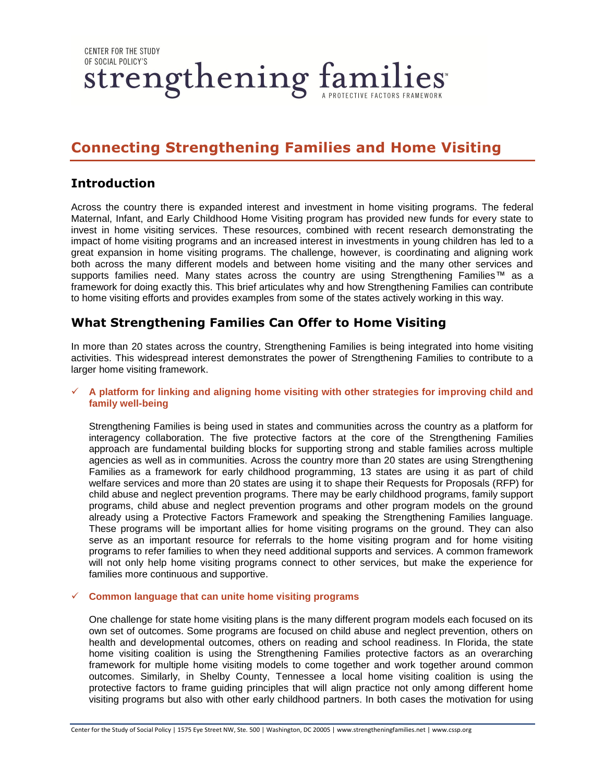**CENTER FOR THE STUDY** OF SOCIAL POLICY'S strengthening families

# **Connecting Strengthening Families and Home Visiting**

## **Introduction**

Across the country there is expanded interest and investment in home visiting programs. The federal Maternal, Infant, and Early Childhood Home Visiting program has provided new funds for every state to invest in home visiting services. These resources, combined with recent research demonstrating the impact of home visiting programs and an increased interest in investments in young children has led to a great expansion in home visiting programs. The challenge, however, is coordinating and aligning work both across the many different models and between home visiting and the many other services and supports families need. Many states across the country are using Strengthening Families™ as a framework for doing exactly this. This brief articulates why and how Strengthening Families can contribute to home visiting efforts and provides examples from some of the states actively working in this way.

# **What Strengthening Families Can Offer to Home Visiting**

In more than 20 states across the country, Strengthening Families is being integrated into home visiting activities. This widespread interest demonstrates the power of Strengthening Families to contribute to a larger home visiting framework.

### **A platform for linking and aligning home visiting with other strategies for improving child and family well-being**

Strengthening Families is being used in states and communities across the country as a platform for interagency collaboration. The five protective factors at the core of the Strengthening Families approach are fundamental building blocks for supporting strong and stable families across multiple agencies as well as in communities. Across the country more than 20 states are using Strengthening Families as a framework for early childhood programming, 13 states are using it as part of child welfare services and more than 20 states are using it to shape their Requests for Proposals (RFP) for child abuse and neglect prevention programs. There may be early childhood programs, family support programs, child abuse and neglect prevention programs and other program models on the ground already using a Protective Factors Framework and speaking the Strengthening Families language. These programs will be important allies for home visiting programs on the ground. They can also serve as an important resource for referrals to the home visiting program and for home visiting programs to refer families to when they need additional supports and services. A common framework will not only help home visiting programs connect to other services, but make the experience for families more continuous and supportive.

### **Common language that can unite home visiting programs**

One challenge for state home visiting plans is the many different program models each focused on its own set of outcomes. Some programs are focused on child abuse and neglect prevention, others on health and developmental outcomes, others on reading and school readiness. In Florida, the state home visiting coalition is using the Strengthening Families protective factors as an overarching framework for multiple home visiting models to come together and work together around common outcomes. Similarly, in Shelby County, Tennessee a local home visiting coalition is using the protective factors to frame guiding principles that will align practice not only among different home visiting programs but also with other early childhood partners. In both cases the motivation for using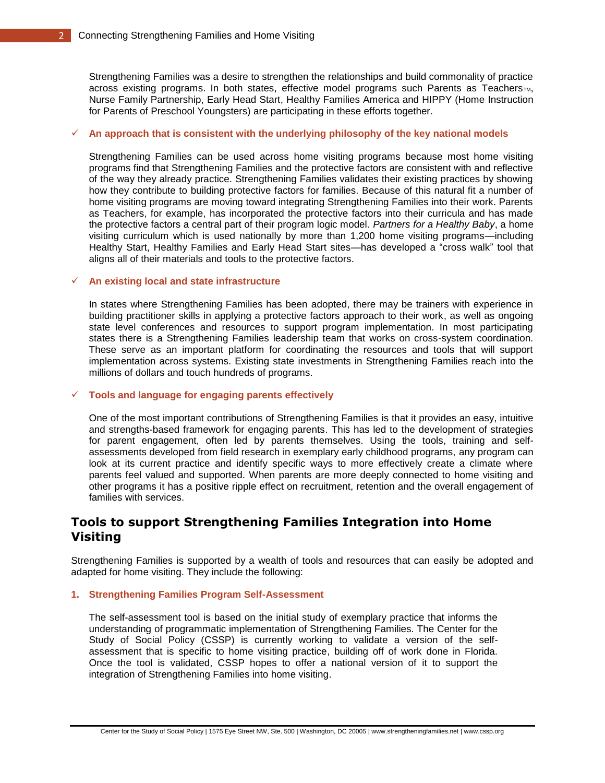Strengthening Families was a desire to strengthen the relationships and build commonality of practice across existing programs. In both states, effective model programs such Parents as Teachers<sub>TM</sub>, Nurse Family Partnership, Early Head Start, Healthy Families America and HIPPY (Home Instruction for Parents of Preschool Youngsters) are participating in these efforts together.

### $\checkmark$  An approach that is consistent with the underlying philosophy of the key national models

Strengthening Families can be used across home visiting programs because most home visiting programs find that Strengthening Families and the protective factors are consistent with and reflective of the way they already practice. Strengthening Families validates their existing practices by showing how they contribute to building protective factors for families. Because of this natural fit a number of home visiting programs are moving toward integrating Strengthening Families into their work. Parents as Teachers, for example, has incorporated the protective factors into their curricula and has made the protective factors a central part of their program logic model. *Partners for a Healthy Baby*, a home visiting curriculum which is used nationally by more than 1,200 home visiting programs—including Healthy Start, Healthy Families and Early Head Start sites—has developed a "cross walk" tool that aligns all of their materials and tools to the protective factors.

#### **An existing local and state infrastructure**

In states where Strengthening Families has been adopted, there may be trainers with experience in building practitioner skills in applying a protective factors approach to their work, as well as ongoing state level conferences and resources to support program implementation. In most participating states there is a Strengthening Families leadership team that works on cross-system coordination. These serve as an important platform for coordinating the resources and tools that will support implementation across systems. Existing state investments in Strengthening Families reach into the millions of dollars and touch hundreds of programs.

#### **Tools and language for engaging parents effectively**

One of the most important contributions of Strengthening Families is that it provides an easy, intuitive and strengths-based framework for engaging parents. This has led to the development of strategies for parent engagement, often led by parents themselves. Using the tools, training and selfassessments developed from field research in exemplary early childhood programs, any program can look at its current practice and identify specific ways to more effectively create a climate where parents feel valued and supported. When parents are more deeply connected to home visiting and other programs it has a positive ripple effect on recruitment, retention and the overall engagement of families with services.

# **Tools to support Strengthening Families Integration into Home Visiting**

Strengthening Families is supported by a wealth of tools and resources that can easily be adopted and adapted for home visiting. They include the following:

### **1. Strengthening Families Program Self-Assessment**

The self-assessment tool is based on the initial study of exemplary practice that informs the understanding of programmatic implementation of Strengthening Families. The Center for the Study of Social Policy (CSSP) is currently working to validate a version of the selfassessment that is specific to home visiting practice, building off of work done in Florida. Once the tool is validated, CSSP hopes to offer a national version of it to support the integration of Strengthening Families into home visiting.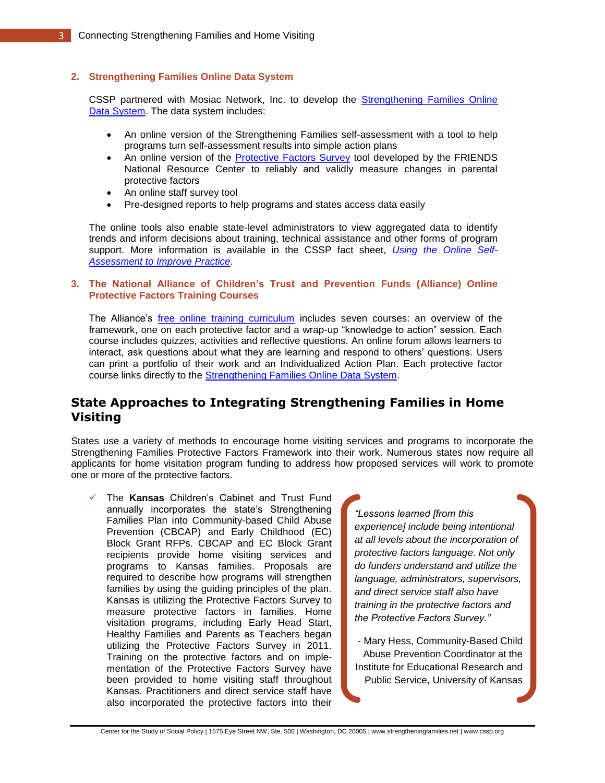### **2. Strengthening Families Online Data System**

CSSP partnered with Mosiac Network, Inc. to develop the [Strengthening Families Online](http://www.mosaic-network.com/gemslive/cssp/)  [Data System.](http://www.mosaic-network.com/gemslive/cssp/) The data system includes:

- An online version of the Strengthening Families self-assessment with a tool to help programs turn self-assessment results into simple action plans
- An online version of the [Protective Factors Survey](http://friendsnrc.org/protective-factors-survey) tool developed by the FRIENDS National Resource Center to reliably and validly measure changes in parental protective factors
- An online staff survey tool
- Pre-designed reports to help programs and states access data easily

The online tools also enable state-level administrators to view aggregated data to identify trends and inform decisions about training, technical assistance and other forms of program support. More information is available in the CSSP fact sheet, *[Using the Online Self-](http://www.cssp.org/reform/strengthening-families/resources/Online-self-assesment-fact-sheet-December-2011.pdf)[Assessment to Improve Practice.](http://www.cssp.org/reform/strengthening-families/resources/Online-self-assesment-fact-sheet-December-2011.pdf)* 

#### **3. The National Alliance of Children's Trust and Prevention Funds (Alliance) Online Protective Factors Training Courses**

The Alliance's [free online training curriculum](http://www.ctfalliance.org/onlinetraining.htm) includes seven courses: an overview of the framework, one on each protective factor and a wrap-up "knowledge to action" session. Each course includes quizzes, activities and reflective questions. An online forum allows learners to interact, ask questions about what they are learning and respond to others' questions. Users can print a portfolio of their work and an Individualized Action Plan. Each protective factor course links directly to the [Strengthening Families Online Data System.](http://www.mosaic-network.com/gemslive/cssp/)

# **State Approaches to Integrating Strengthening Families in Home Visiting**

States use a variety of methods to encourage home visiting services and programs to incorporate the Strengthening Families Protective Factors Framework into their work. Numerous states now require all applicants for home visitation program funding to address how proposed services will work to promote one or more of the protective factors.

 The **Kansas** Children's Cabinet and Trust Fund annually incorporates the state's Strengthening Families Plan into Community-based Child Abuse Prevention (CBCAP) and Early Childhood (EC) Block Grant RFPs. CBCAP and EC Block Grant recipients provide home visiting services and programs to Kansas families. Proposals are required to describe how programs will strengthen families by using the guiding principles of the plan. Kansas is utilizing the Protective Factors Survey to measure protective factors in families. Home visitation programs, including Early Head Start, Healthy Families and Parents as Teachers began utilizing the Protective Factors Survey in 2011. Training on the protective factors and on implementation of the Protective Factors Survey have been provided to home visiting staff throughout Kansas. Practitioners and direct service staff have also incorporated the protective factors into their

*"Lessons learned [from this experience] include being intentional at all levels about the incorporation of protective factors language. Not only do funders understand and utilize the language, administrators, supervisors, and direct service staff also have training in the protective factors and the Protective Factors Survey."*

- Mary Hess, Community-Based Child Abuse Prevention Coordinator at the Institute for Educational Research and Public Service, University of Kansas

Center for the Study of Social Policy | 1575 Eye Street NW, Ste. 500 | Washington, DC 20005 | www.strengtheningfamilies.net | www.cssp.org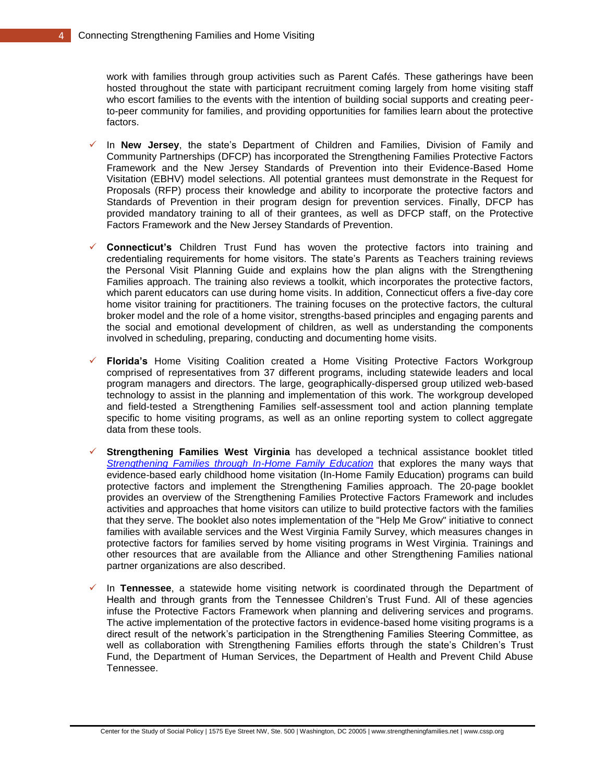work with families through group activities such as Parent Cafés. These gatherings have been hosted throughout the state with participant recruitment coming largely from home visiting staff who escort families to the events with the intention of building social supports and creating peerto-peer community for families, and providing opportunities for families learn about the protective factors.

- In **New Jersey**, the state's Department of Children and Families, Division of Family and Community Partnerships (DFCP) has incorporated the Strengthening Families Protective Factors Framework and the New Jersey Standards of Prevention into their Evidence-Based Home Visitation (EBHV) model selections. All potential grantees must demonstrate in the Request for Proposals (RFP) process their knowledge and ability to incorporate the protective factors and Standards of Prevention in their program design for prevention services. Finally, DFCP has provided mandatory training to all of their grantees, as well as DFCP staff, on the Protective Factors Framework and the New Jersey Standards of Prevention.
- **Connecticut's** Children Trust Fund has woven the protective factors into training and credentialing requirements for home visitors. The state's Parents as Teachers training reviews the Personal Visit Planning Guide and explains how the plan aligns with the Strengthening Families approach. The training also reviews a toolkit, which incorporates the protective factors, which parent educators can use during home visits. In addition, Connecticut offers a five-day core home visitor training for practitioners. The training focuses on the protective factors, the cultural broker model and the role of a home visitor, strengths-based principles and engaging parents and the social and emotional development of children, as well as understanding the components involved in scheduling, preparing, conducting and documenting home visits.
- **Florida's** Home Visiting Coalition created a Home Visiting Protective Factors Workgroup comprised of representatives from 37 different programs, including statewide leaders and local program managers and directors. The large, geographically-dispersed group utilized web-based technology to assist in the planning and implementation of this work. The workgroup developed and field-tested a Strengthening Families self-assessment tool and action planning template specific to home visiting programs, as well as an online reporting system to collect aggregate data from these tools.
- **Strengthening Families West Virginia** has developed a technical assistance booklet titled *[Strengthening Families through In-Home Family Education](http://0101.nccdn.net/1_5/103/00c/295/TEAM-IN_HOME_WEB.pdf)* that explores the many ways that evidence-based early childhood home visitation (In-Home Family Education) programs can build protective factors and implement the Strengthening Families approach. The 20-page booklet provides an overview of the Strengthening Families Protective Factors Framework and includes activities and approaches that home visitors can utilize to build protective factors with the families that they serve. The booklet also notes implementation of the "Help Me Grow" initiative to connect families with available services and the West Virginia Family Survey, which measures changes in protective factors for families served by home visiting programs in West Virginia. Trainings and other resources that are available from the Alliance and other Strengthening Families national partner organizations are also described.
- In **Tennessee**, a statewide home visiting network is coordinated through the Department of Health and through grants from the Tennessee Children's Trust Fund. All of these agencies infuse the Protective Factors Framework when planning and delivering services and programs. The active implementation of the protective factors in evidence-based home visiting programs is a direct result of the network's participation in the Strengthening Families Steering Committee, as well as collaboration with Strengthening Families efforts through the state's Children's Trust Fund, the Department of Human Services, the Department of Health and Prevent Child Abuse Tennessee.

Center for the Study of Social Policy | 1575 Eye Street NW, Ste. 500 | Washington, DC 20005 | www.strengtheningfamilies.net | www.cssp.org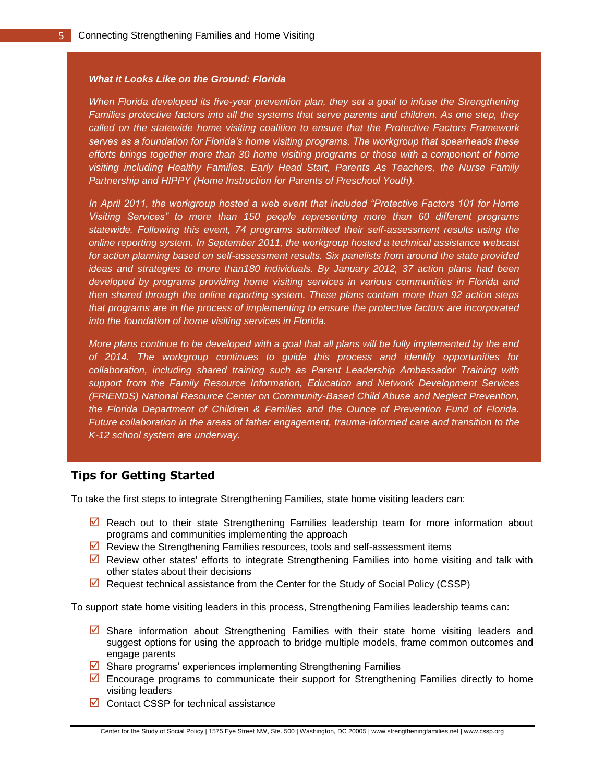#### *What it Looks Like on the Ground: Florida*

*When Florida developed its five-year prevention plan, they set a goal to infuse the Strengthening Families protective factors into all the systems that serve parents and children. As one step, they called on the statewide home visiting coalition to ensure that the Protective Factors Framework serves as a foundation for Florida's home visiting programs. The workgroup that spearheads these efforts brings together more than 30 home visiting programs or those with a component of home visiting including Healthy Families, Early Head Start, Parents As Teachers, the Nurse Family Partnership and HIPPY (Home Instruction for Parents of Preschool Youth).* 

*In April 2011, the workgroup hosted a web event that included "Protective Factors 101 for Home Visiting Services" to more than 150 people representing more than 60 different programs statewide. Following this event, 74 programs submitted their self-assessment results using the online reporting system. In September 2011, the workgroup hosted a technical assistance webcast for action planning based on self-assessment results. Six panelists from around the state provided ideas and strategies to more than180 individuals. By January 2012, 37 action plans had been developed by programs providing home visiting services in various communities in Florida and then shared through the online reporting system. These plans contain more than 92 action steps that programs are in the process of implementing to ensure the protective factors are incorporated into the foundation of home visiting services in Florida.* 

*More plans continue to be developed with a goal that all plans will be fully implemented by the end of 2014. The workgroup continues to guide this process and identify opportunities for collaboration, including shared training such as Parent Leadership Ambassador Training with support from the Family Resource Information, Education and Network Development Services (FRIENDS) National Resource Center on Community-Based Child Abuse and Neglect Prevention, the Florida Department of Children & Families and the Ounce of Prevention Fund of Florida. Future collaboration in the areas of father engagement, trauma-informed care and transition to the K-12 school system are underway.*

### **Tips for Getting Started**

To take the first steps to integrate Strengthening Families, state home visiting leaders can:

- $\boxtimes$  Reach out to their state Strengthening Families leadership team for more information about programs and communities implementing the approach
- $\triangleright$  Review the Strengthening Families resources, tools and self-assessment items
- $\boxdot$  Review other states' efforts to integrate Strengthening Families into home visiting and talk with other states about their decisions
- $\boxtimes$  Request technical assistance from the Center for the Study of Social Policy (CSSP)

To support state home visiting leaders in this process, Strengthening Families leadership teams can:

- $\boxtimes$  Share information about Strengthening Families with their state home visiting leaders and suggest options for using the approach to bridge multiple models, frame common outcomes and engage parents
- $\boxtimes$  Share programs' experiences implementing Strengthening Families
- $\boxdot$  Encourage programs to communicate their support for Strengthening Families directly to home visiting leaders
- $\boxdot$  Contact CSSP for technical assistance